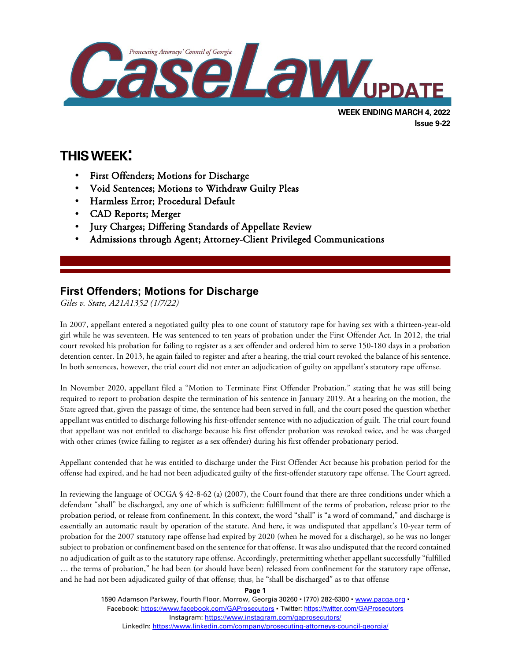

# **Issue 9-22**

# **THIS WEEK:**

l

- First Offenders; Motions for Discharge
- Void Sentences; Motions to Withdraw Guilty Pleas
- Harmless Error; Procedural Default
- CAD Reports; Merger
- Jury Charges; Differing Standards of Appellate Review
- Admissions through Agent; Attorney-Client Privileged Communications

## **First Offenders; Motions for Discharge**

*Giles v. State, A21A1352 (1/7/22)*

In 2007, appellant entered a negotiated guilty plea to one count of statutory rape for having sex with a thirteen-year-old girl while he was seventeen. He was sentenced to ten years of probation under the First Offender Act. In 2012, the trial court revoked his probation for failing to register as a sex offender and ordered him to serve 150-180 days in a probation detention center. In 2013, he again failed to register and after a hearing, the trial court revoked the balance of his sentence. In both sentences, however, the trial court did not enter an adjudication of guilty on appellant's statutory rape offense.

In November 2020, appellant filed a "Motion to Terminate First Offender Probation," stating that he was still being required to report to probation despite the termination of his sentence in January 2019. At a hearing on the motion, the State agreed that, given the passage of time, the sentence had been served in full, and the court posed the question whether appellant was entitled to discharge following his first-offender sentence with no adjudication of guilt. The trial court found that appellant was not entitled to discharge because his first offender probation was revoked twice, and he was charged with other crimes (twice failing to register as a sex offender) during his first offender probationary period.

Appellant contended that he was entitled to discharge under the First Offender Act because his probation period for the offense had expired, and he had not been adjudicated guilty of the first-offender statutory rape offense. The Court agreed.

In reviewing the language of OCGA § 42-8-62 (a) (2007), the Court found that there are three conditions under which a defendant "shall" be discharged, any one of which is sufficient: fulfillment of the terms of probation, release prior to the probation period, or release from confinement. In this context, the word "shall" is "a word of command," and discharge is essentially an automatic result by operation of the statute. And here, it was undisputed that appellant's 10-year term of probation for the 2007 statutory rape offense had expired by 2020 (when he moved for a discharge), so he was no longer subject to probation or confinement based on the sentence for that offense. It was also undisputed that the record contained no adjudication of guilt as to the statutory rape offense. Accordingly, pretermitting whether appellant successfully "fulfilled … the terms of probation," he had been (or should have been) released from confinement for the statutory rape offense, and he had not been adjudicated guilty of that offense; thus, he "shall be discharged" as to that offense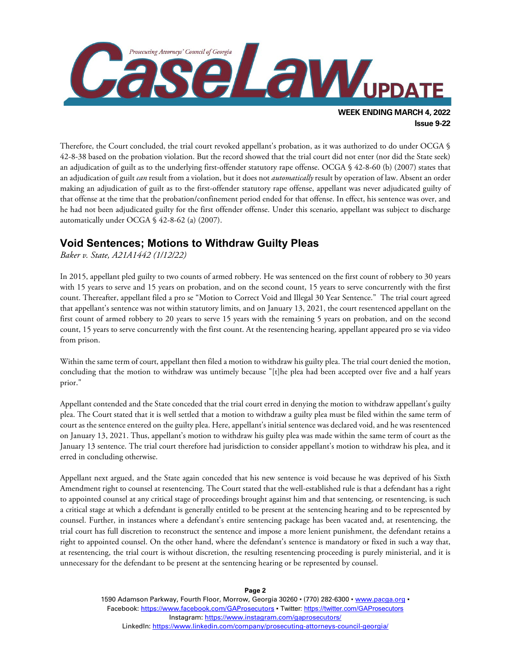

Therefore, the Court concluded, the trial court revoked appellant's probation, as it was authorized to do under OCGA § 42-8-38 based on the probation violation. But the record showed that the trial court did not enter (nor did the State seek) an adjudication of guilt as to the underlying first-offender statutory rape offense. OCGA § 42-8-60 (b) (2007) states that an adjudication of guilt *can* result from a violation, but it does not *automatically* result by operation of law. Absent an order making an adjudication of guilt as to the first-offender statutory rape offense, appellant was never adjudicated guilty of that offense at the time that the probation/confinement period ended for that offense. In effect, his sentence was over, and he had not been adjudicated guilty for the first offender offense. Under this scenario, appellant was subject to discharge automatically under OCGA § 42-8-62 (a) (2007).

### **Void Sentences; Motions to Withdraw Guilty Pleas**

*Baker v. State, A21A1442 (1/12/22)*

In 2015, appellant pled guilty to two counts of armed robbery. He was sentenced on the first count of robbery to 30 years with 15 years to serve and 15 years on probation, and on the second count, 15 years to serve concurrently with the first count. Thereafter, appellant filed a pro se "Motion to Correct Void and Illegal 30 Year Sentence." The trial court agreed that appellant's sentence was not within statutory limits, and on January 13, 2021, the court resentenced appellant on the first count of armed robbery to 20 years to serve 15 years with the remaining 5 years on probation, and on the second count, 15 years to serve concurrently with the first count. At the resentencing hearing, appellant appeared pro se via video from prison.

Within the same term of court, appellant then filed a motion to withdraw his guilty plea. The trial court denied the motion, concluding that the motion to withdraw was untimely because "[t]he plea had been accepted over five and a half years prior."

Appellant contended and the State conceded that the trial court erred in denying the motion to withdraw appellant's guilty plea. The Court stated that it is well settled that a motion to withdraw a guilty plea must be filed within the same term of court as the sentence entered on the guilty plea. Here, appellant's initial sentence was declared void, and he was resentenced on January 13, 2021. Thus, appellant's motion to withdraw his guilty plea was made within the same term of court as the January 13 sentence. The trial court therefore had jurisdiction to consider appellant's motion to withdraw his plea, and it erred in concluding otherwise.

Appellant next argued, and the State again conceded that his new sentence is void because he was deprived of his Sixth Amendment right to counsel at resentencing. The Court stated that the well-established rule is that a defendant has a right to appointed counsel at any critical stage of proceedings brought against him and that sentencing, or resentencing, is such a critical stage at which a defendant is generally entitled to be present at the sentencing hearing and to be represented by counsel. Further, in instances where a defendant's entire sentencing package has been vacated and, at resentencing, the trial court has full discretion to reconstruct the sentence and impose a more lenient punishment, the defendant retains a right to appointed counsel. On the other hand, where the defendant's sentence is mandatory or fixed in such a way that, at resentencing, the trial court is without discretion, the resulting resentencing proceeding is purely ministerial, and it is unnecessary for the defendant to be present at the sentencing hearing or be represented by counsel.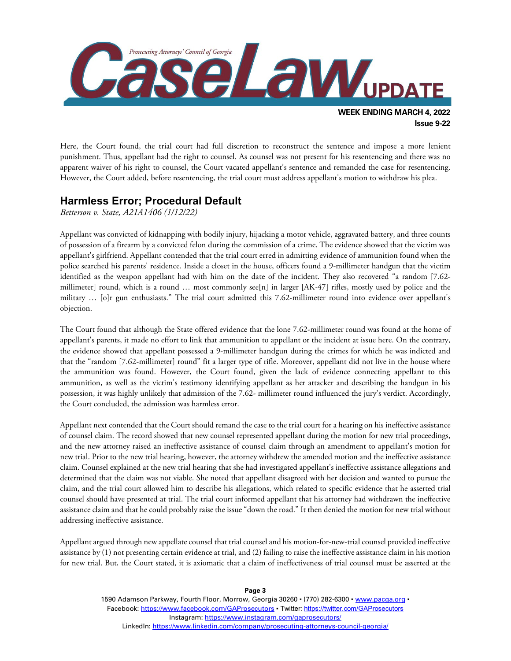

Here, the Court found, the trial court had full discretion to reconstruct the sentence and impose a more lenient punishment. Thus, appellant had the right to counsel. As counsel was not present for his resentencing and there was no apparent waiver of his right to counsel, the Court vacated appellant's sentence and remanded the case for resentencing. However, the Court added, before resentencing, the trial court must address appellant's motion to withdraw his plea.

### **Harmless Error; Procedural Default**

*Betterson v. State, A21A1406 (1/12/22)*

Appellant was convicted of kidnapping with bodily injury, hijacking a motor vehicle, aggravated battery, and three counts of possession of a firearm by a convicted felon during the commission of a crime. The evidence showed that the victim was appellant's girlfriend. Appellant contended that the trial court erred in admitting evidence of ammunition found when the police searched his parents' residence. Inside a closet in the house, officers found a 9-millimeter handgun that the victim identified as the weapon appellant had with him on the date of the incident. They also recovered "a random [7.62 millimeter] round, which is a round … most commonly see[n] in larger [AK-47] rifles, mostly used by police and the military … [o]r gun enthusiasts." The trial court admitted this 7.62-millimeter round into evidence over appellant's objection.

The Court found that although the State offered evidence that the lone 7.62-millimeter round was found at the home of appellant's parents, it made no effort to link that ammunition to appellant or the incident at issue here. On the contrary, the evidence showed that appellant possessed a 9-millimeter handgun during the crimes for which he was indicted and that the "random [7.62-millimeter] round" fit a larger type of rifle. Moreover, appellant did not live in the house where the ammunition was found. However, the Court found, given the lack of evidence connecting appellant to this ammunition, as well as the victim's testimony identifying appellant as her attacker and describing the handgun in his possession, it was highly unlikely that admission of the 7.62- millimeter round influenced the jury's verdict. Accordingly, the Court concluded, the admission was harmless error.

Appellant next contended that the Court should remand the case to the trial court for a hearing on his ineffective assistance of counsel claim. The record showed that new counsel represented appellant during the motion for new trial proceedings, and the new attorney raised an ineffective assistance of counsel claim through an amendment to appellant's motion for new trial. Prior to the new trial hearing, however, the attorney withdrew the amended motion and the ineffective assistance claim. Counsel explained at the new trial hearing that she had investigated appellant's ineffective assistance allegations and determined that the claim was not viable. She noted that appellant disagreed with her decision and wanted to pursue the claim, and the trial court allowed him to describe his allegations, which related to specific evidence that he asserted trial counsel should have presented at trial. The trial court informed appellant that his attorney had withdrawn the ineffective assistance claim and that he could probably raise the issue "down the road." It then denied the motion for new trial without addressing ineffective assistance.

Appellant argued through new appellate counsel that trial counsel and his motion-for-new-trial counsel provided ineffective assistance by (1) not presenting certain evidence at trial, and (2) failing to raise the ineffective assistance claim in his motion for new trial. But, the Court stated, it is axiomatic that a claim of ineffectiveness of trial counsel must be asserted at the

> 1590 Adamson Parkway, Fourth Floor, Morrow, Georgia 30260 · (770) 282-6300 · [www.pacga.org](http://www.pacga.org/) · Facebook:<https://www.facebook.com/GAProsecutors> . Twitter[: https://twitter.com/GAProsecutors](https://twitter.com/GAProsecutors) Instagram[: https://www.instagram.com/gaprosecutors/](https://www.instagram.com/gaprosecutors/) LinkedIn:<https://www.linkedin.com/company/prosecuting-attorneys-council-georgia/>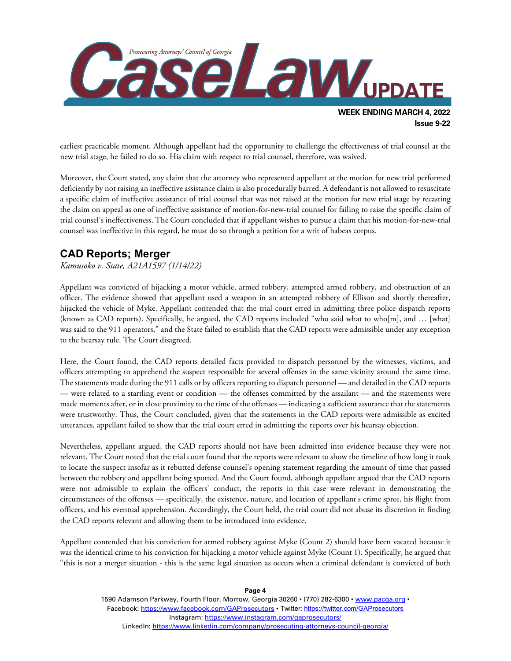

earliest practicable moment. Although appellant had the opportunity to challenge the effectiveness of trial counsel at the new trial stage, he failed to do so. His claim with respect to trial counsel, therefore, was waived.

Moreover, the Court stated, any claim that the attorney who represented appellant at the motion for new trial performed deficiently by not raising an ineffective assistance claim is also procedurally barred. A defendant is not allowed to resuscitate a specific claim of ineffective assistance of trial counsel that was not raised at the motion for new trial stage by recasting the claim on appeal as one of ineffective assistance of motion-for-new-trial counsel for failing to raise the specific claim of trial counsel's ineffectiveness. The Court concluded that if appellant wishes to pursue a claim that his motion-for-new-trial counsel was ineffective in this regard, he must do so through a petition for a writ of habeas corpus.

### **CAD Reports; Merger**

*Kamusoko v. State, A21A1597 (1/14/22)*

Appellant was convicted of hijacking a motor vehicle, armed robbery, attempted armed robbery, and obstruction of an officer. The evidence showed that appellant used a weapon in an attempted robbery of Ellison and shortly thereafter, hijacked the vehicle of Myke. Appellant contended that the trial court erred in admitting three police dispatch reports (known as CAD reports). Specifically, he argued, the CAD reports included "who said what to who[m], and … [what] was said to the 911 operators," and the State failed to establish that the CAD reports were admissible under any exception to the hearsay rule. The Court disagreed.

Here, the Court found, the CAD reports detailed facts provided to dispatch personnel by the witnesses, victims, and officers attempting to apprehend the suspect responsible for several offenses in the same vicinity around the same time. The statements made during the 911 calls or by officers reporting to dispatch personnel — and detailed in the CAD reports — were related to a startling event or condition — the offenses committed by the assailant — and the statements were made moments after, or in close proximity to the time of the offenses — indicating a sufficient assurance that the statements were trustworthy. Thus, the Court concluded, given that the statements in the CAD reports were admissible as excited utterances, appellant failed to show that the trial court erred in admitting the reports over his hearsay objection.

Nevertheless, appellant argued, the CAD reports should not have been admitted into evidence because they were not relevant. The Court noted that the trial court found that the reports were relevant to show the timeline of how long it took to locate the suspect insofar as it rebutted defense counsel's opening statement regarding the amount of time that passed between the robbery and appellant being spotted. And the Court found, although appellant argued that the CAD reports were not admissible to explain the officers' conduct, the reports in this case were relevant in demonstrating the circumstances of the offenses — specifically, the existence, nature, and location of appellant's crime spree, his flight from officers, and his eventual apprehension. Accordingly, the Court held, the trial court did not abuse its discretion in finding the CAD reports relevant and allowing them to be introduced into evidence.

Appellant contended that his conviction for armed robbery against Myke (Count 2) should have been vacated because it was the identical crime to his conviction for hijacking a motor vehicle against Myke (Count 1). Specifically, he argued that "this is not a merger situation - this is the same legal situation as occurs when a criminal defendant is convicted of both

> 1590 Adamson Parkway, Fourth Floor, Morrow, Georgia 30260 · (770) 282-6300 · [www.pacga.org](http://www.pacga.org/) · Facebook:<https://www.facebook.com/GAProsecutors> . Twitter[: https://twitter.com/GAProsecutors](https://twitter.com/GAProsecutors) Instagram[: https://www.instagram.com/gaprosecutors/](https://www.instagram.com/gaprosecutors/) LinkedIn:<https://www.linkedin.com/company/prosecuting-attorneys-council-georgia/>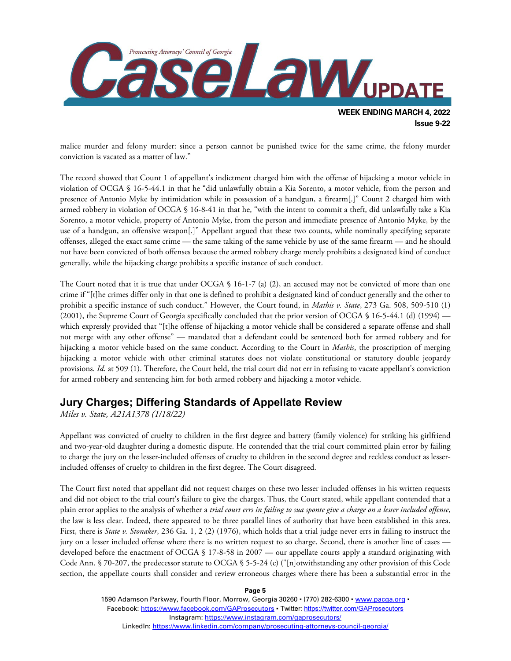

malice murder and felony murder: since a person cannot be punished twice for the same crime, the felony murder conviction is vacated as a matter of law."

The record showed that Count 1 of appellant's indictment charged him with the offense of hijacking a motor vehicle in violation of OCGA § 16-5-44.1 in that he "did unlawfully obtain a Kia Sorento, a motor vehicle, from the person and presence of Antonio Myke by intimidation while in possession of a handgun, a firearm[.]" Count 2 charged him with armed robbery in violation of OCGA § 16-8-41 in that he, "with the intent to commit a theft, did unlawfully take a Kia Sorento, a motor vehicle, property of Antonio Myke, from the person and immediate presence of Antonio Myke, by the use of a handgun, an offensive weapon[.]" Appellant argued that these two counts, while nominally specifying separate offenses, alleged the exact same crime — the same taking of the same vehicle by use of the same firearm — and he should not have been convicted of both offenses because the armed robbery charge merely prohibits a designated kind of conduct generally, while the hijacking charge prohibits a specific instance of such conduct.

The Court noted that it is true that under OCGA  $\S$  16-1-7 (a) (2), an accused may not be convicted of more than one crime if "[t]he crimes differ only in that one is defined to prohibit a designated kind of conduct generally and the other to prohibit a specific instance of such conduct." However, the Court found, in *Mathis v. State*, 273 Ga. 508, 509-510 (1) (2001), the Supreme Court of Georgia specifically concluded that the prior version of OCGA § 16-5-44.1 (d) (1994) which expressly provided that "[t]he offense of hijacking a motor vehicle shall be considered a separate offense and shall not merge with any other offense" — mandated that a defendant could be sentenced both for armed robbery and for hijacking a motor vehicle based on the same conduct. According to the Court in *Mathis*, the proscription of merging hijacking a motor vehicle with other criminal statutes does not violate constitutional or statutory double jeopardy provisions. *Id*. at 509 (1). Therefore, the Court held, the trial court did not err in refusing to vacate appellant's conviction for armed robbery and sentencing him for both armed robbery and hijacking a motor vehicle.

### **Jury Charges; Differing Standards of Appellate Review**

*Miles v. State, A21A1378 (1/18/22)*

Appellant was convicted of cruelty to children in the first degree and battery (family violence) for striking his girlfriend and two-year-old daughter during a domestic dispute. He contended that the trial court committed plain error by failing to charge the jury on the lesser-included offenses of cruelty to children in the second degree and reckless conduct as lesserincluded offenses of cruelty to children in the first degree. The Court disagreed.

The Court first noted that appellant did not request charges on these two lesser included offenses in his written requests and did not object to the trial court's failure to give the charges. Thus, the Court stated, while appellant contended that a plain error applies to the analysis of whether a *trial court errs in failing to sua sponte give a charge on a lesser included offense*, the law is less clear. Indeed, there appeared to be three parallel lines of authority that have been established in this area. First, there is *State v. Stonaker*, 236 Ga. 1, 2 (2) (1976), which holds that a trial judge never errs in failing to instruct the jury on a lesser included offense where there is no written request to so charge. Second, there is another line of cases developed before the enactment of OCGA § 17-8-58 in 2007 — our appellate courts apply a standard originating with Code Ann. § 70-207, the predecessor statute to OCGA § 5-5-24 (c) ("[n]otwithstanding any other provision of this Code section, the appellate courts shall consider and review erroneous charges where there has been a substantial error in the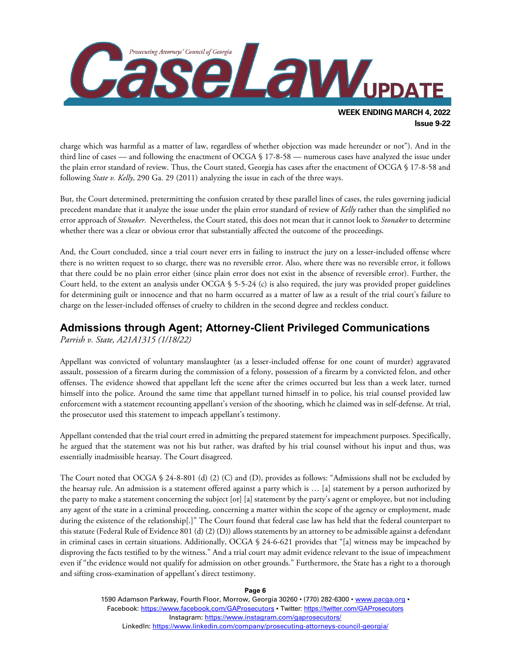

charge which was harmful as a matter of law, regardless of whether objection was made hereunder or not"). And in the third line of cases — and following the enactment of OCGA § 17-8-58 — numerous cases have analyzed the issue under the plain error standard of review. Thus, the Court stated, Georgia has cases after the enactment of OCGA § 17-8-58 and following *State v. Kelly*, 290 Ga. 29 (2011) analyzing the issue in each of the three ways.

But, the Court determined, pretermitting the confusion created by these parallel lines of cases, the rules governing judicial precedent mandate that it analyze the issue under the plain error standard of review of *Kelly* rather than the simplified no error approach of *Stonaker*. Nevertheless, the Court stated, this does not mean that it cannot look to *Stonaker* to determine whether there was a clear or obvious error that substantially affected the outcome of the proceedings.

And, the Court concluded, since a trial court never errs in failing to instruct the jury on a lesser-included offense where there is no written request to so charge, there was no reversible error. Also, where there was no reversible error, it follows that there could be no plain error either (since plain error does not exist in the absence of reversible error). Further, the Court held, to the extent an analysis under OCGA § 5-5-24 (c) is also required, the jury was provided proper guidelines for determining guilt or innocence and that no harm occurred as a matter of law as a result of the trial court's failure to charge on the lesser-included offenses of cruelty to children in the second degree and reckless conduct.

#### **Admissions through Agent; Attorney-Client Privileged Communications**

*Parrish v. State, A21A1315 (1/18/22)*

Appellant was convicted of voluntary manslaughter (as a lesser-included offense for one count of murder) aggravated assault, possession of a firearm during the commission of a felony, possession of a firearm by a convicted felon, and other offenses. The evidence showed that appellant left the scene after the crimes occurred but less than a week later, turned himself into the police. Around the same time that appellant turned himself in to police, his trial counsel provided law enforcement with a statement recounting appellant's version of the shooting, which he claimed was in self-defense. At trial, the prosecutor used this statement to impeach appellant's testimony.

Appellant contended that the trial court erred in admitting the prepared statement for impeachment purposes. Specifically, he argued that the statement was not his but rather, was drafted by his trial counsel without his input and thus, was essentially inadmissible hearsay. The Court disagreed.

The Court noted that OCGA § 24-8-801 (d) (2) (C) and (D), provides as follows: "Admissions shall not be excluded by the hearsay rule. An admission is a statement offered against a party which is … [a] statement by a person authorized by the party to make a statement concerning the subject [or] [a] statement by the party's agent or employee, but not including any agent of the state in a criminal proceeding, concerning a matter within the scope of the agency or employment, made during the existence of the relationship[.]" The Court found that federal case law has held that the federal counterpart to this statute (Federal Rule of Evidence 801 (d) (2) (D)) allows statements by an attorney to be admissible against a defendant in criminal cases in certain situations. Additionally, OCGA § 24-6-621 provides that "[a] witness may be impeached by disproving the facts testified to by the witness." And a trial court may admit evidence relevant to the issue of impeachment even if "the evidence would not qualify for admission on other grounds." Furthermore, the State has a right to a thorough and sifting cross-examination of appellant's direct testimony.

#### **Page 6**

1590 Adamson Parkway, Fourth Floor, Morrow, Georgia 30260 · (770) 282-6300 · [www.pacga.org](http://www.pacga.org/) · Facebook:<https://www.facebook.com/GAProsecutors> . Twitter[: https://twitter.com/GAProsecutors](https://twitter.com/GAProsecutors) Instagram[: https://www.instagram.com/gaprosecutors/](https://www.instagram.com/gaprosecutors/) LinkedIn:<https://www.linkedin.com/company/prosecuting-attorneys-council-georgia/>